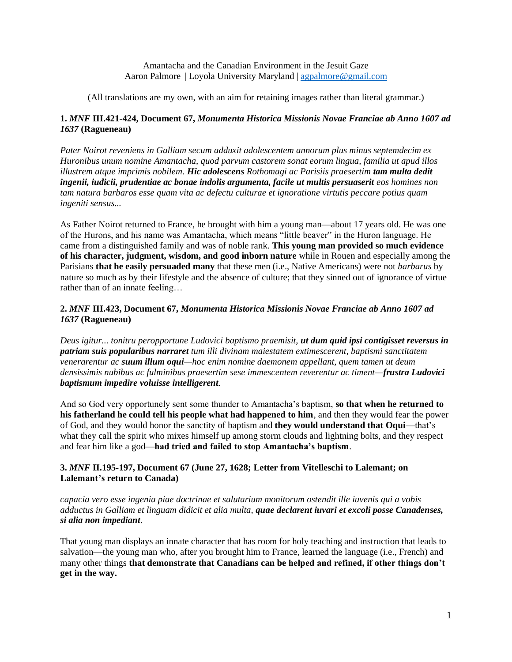## Amantacha and the Canadian Environment in the Jesuit Gaze Aaron Palmore | Loyola University Maryland | [agpalmore@gmail.com](mailto:agpalmore@gmail.com)

(All translations are my own, with an aim for retaining images rather than literal grammar.)

# **1.** *MNF* **III.421-424, Document 67,** *Monumenta Historica Missionis Novae Franciae ab Anno 1607 ad 1637* **(Ragueneau)**

*Pater Noirot reveniens in Galliam secum adduxit adolescentem annorum plus minus septemdecim ex Huronibus unum nomine Amantacha, quod parvum castorem sonat eorum lingua, familia ut apud illos illustrem atque imprimis nobilem. Hic adolescens Rothomagi ac Parisiis praesertim tam multa dedit ingenii, iudicii, prudentiae ac bonae indolis argumenta, facile ut multis persuaserit eos homines non tam natura barbaros esse quam vita ac defectu culturae et ignoratione virtutis peccare potius quam ingeniti sensus...*

As Father Noirot returned to France, he brought with him a young man—about 17 years old. He was one of the Hurons, and his name was Amantacha, which means "little beaver" in the Huron language. He came from a distinguished family and was of noble rank. **This young man provided so much evidence of his character, judgment, wisdom, and good inborn nature** while in Rouen and especially among the Parisians **that he easily persuaded many** that these men (i.e., Native Americans) were not *barbarus* by nature so much as by their lifestyle and the absence of culture; that they sinned out of ignorance of virtue rather than of an innate feeling…

# **2.** *MNF* **III.423, Document 67,** *Monumenta Historica Missionis Novae Franciae ab Anno 1607 ad 1637* **(Ragueneau)**

*Deus igitur... tonitru peropportune Ludovici baptismo praemisit, ut dum quid ipsi contigisset reversus in patriam suis popularibus narraret tum illi divinam maiestatem extimescerent, baptismi sanctitatem venerarentur ac suum illum oqui—hoc enim nomine daemonem appellant, quem tamen ut deum densissimis nubibus ac fulminibus praesertim sese immescentem reverentur ac timent—frustra Ludovici baptismum impedire voluisse intelligerent.*

And so God very opportunely sent some thunder to Amantacha's baptism, **so that when he returned to his fatherland he could tell his people what had happened to him**, and then they would fear the power of God, and they would honor the sanctity of baptism and **they would understand that Oqui**—that's what they call the spirit who mixes himself up among storm clouds and lightning bolts, and they respect and fear him like a god—**had tried and failed to stop Amantacha's baptism**.

# **3.** *MNF* **II.195-197, Document 67 (June 27, 1628; Letter from Vitelleschi to Lalemant; on Lalemant's return to Canada)**

*capacia vero esse ingenia piae doctrinae et salutarium monitorum ostendit ille iuvenis qui a vobis adductus in Galliam et linguam didicit et alia multa, quae declarent iuvari et excoli posse Canadenses, si alia non impediant*.

That young man displays an innate character that has room for holy teaching and instruction that leads to salvation—the young man who, after you brought him to France, learned the language (i.e., French) and many other things **that demonstrate that Canadians can be helped and refined, if other things don't get in the way.**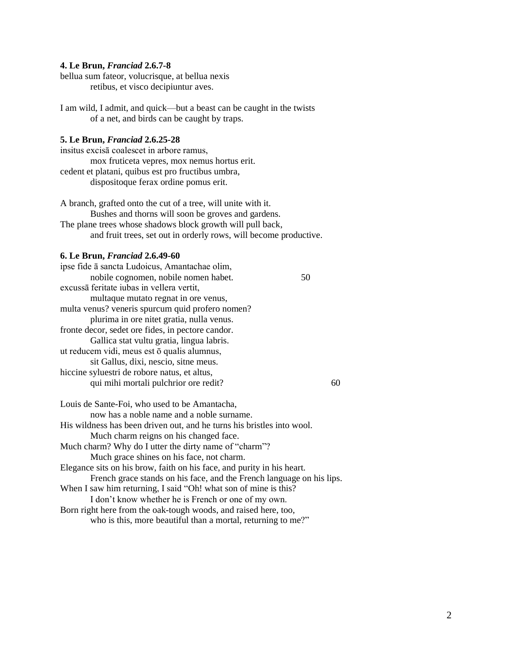### **4. Le Brun,** *Franciad* **2.6.7-8**

bellua sum fateor, volucrisque, at bellua nexis retibus, et visco decipiuntur aves.

I am wild, I admit, and quick—but a beast can be caught in the twists of a net, and birds can be caught by traps.

## **5. Le Brun,** *Franciad* **2.6.25-28**

insitus excisā coalescet in arbore ramus, mox fruticeta vepres, mox nemus hortus erit. cedent et platani, quibus est pro fructibus umbra, dispositoque ferax ordine pomus erit.

A branch, grafted onto the cut of a tree, will unite with it. Bushes and thorns will soon be groves and gardens. The plane trees whose shadows block growth will pull back, and fruit trees, set out in orderly rows, will become productive.

#### **6. Le Brun,** *Franciad* **2.6.49-60**

| ipse fide ā sancta Ludoicus, Amantachae olim,                          |    |
|------------------------------------------------------------------------|----|
| nobile cognomen, nobile nomen habet.                                   | 50 |
| excussa feritate iubas in vellera vertit,                              |    |
| multaque mutato regnat in ore venus,                                   |    |
| multa venus? veneris spurcum quid profero nomen?                       |    |
| plurima in ore nitet gratia, nulla venus.                              |    |
| fronte decor, sedet ore fides, in pectore candor.                      |    |
| Gallica stat vultu gratia, lingua labris.                              |    |
| ut reducem vidi, meus est ō qualis alumnus,                            |    |
| sit Gallus, dixi, nescio, sitne meus.                                  |    |
| hiccine syluestri de robore natus, et altus,                           |    |
| qui mihi mortali pulchrior ore redit?                                  | 60 |
| Louis de Sante-Foi, who used to be Amantacha,                          |    |
| now has a noble name and a noble surname.                              |    |
| His wildness has been driven out, and he turns his bristles into wool. |    |
| Much charm reigns on his changed face.                                 |    |
| Much charm? Why do I utter the dirty name of "charm"?                  |    |
| Much grace shines on his face, not charm.                              |    |
| Elegance sits on his brow, faith on his face, and purity in his heart. |    |
| French grace stands on his face, and the French language on his lips.  |    |
| When I saw him returning, I said "Oh! what son of mine is this?        |    |
| I don't know whether he is French or one of my own.                    |    |

Born right here from the oak-tough woods, and raised here, too, who is this, more beautiful than a mortal, returning to me?"